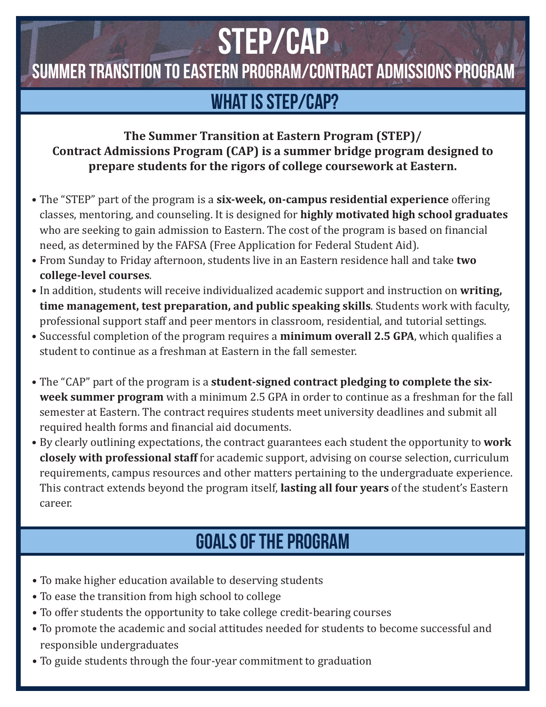# STEP/cap

Summer Transition to Eastern Program/Contract Admissions Program

## WHAT IS STEP/CAP?

#### **The Summer Transition at Eastern Program (STEP)/ Contract Admissions Program (CAP) is a summer bridge program designed to prepare students for the rigors of college coursework at Eastern.**

- The "STEP" part of the program is a **six-week, on-campus residential experience** offering classes, mentoring, and counseling. It is designed for **highly motivated high school graduates**  who are seeking to gain admission to Eastern. The cost of the program is based on financial need, as determined by the FAFSA (Free Application for Federal Student Aid).
- From Sunday to Friday afternoon, students live in an Eastern residence hall and take **two college-level courses**.
- In addition, students will receive individualized academic support and instruction on **writing, time management, test preparation, and public speaking skills**. Students work with faculty, professional support staff and peer mentors in classroom, residential, and tutorial settings.
- Successful completion of the program requires a **minimum overall 2.5 GPA**, which qualifies a student to continue as a freshman at Eastern in the fall semester.
- The "CAP" part of the program is a **student-signed contract pledging to complete the sixweek summer program** with a minimum 2.5 GPA in order to continue as a freshman for the fall semester at Eastern. The contract requires students meet university deadlines and submit all required health forms and financial aid documents.
- By clearly outlining expectations, the contract guarantees each student the opportunity to **work closely with professional staff** for academic support, advising on course selection, curriculum requirements, campus resources and other matters pertaining to the undergraduate experience. This contract extends beyond the program itself, **lasting all four years** of the student's Eastern career.

## Goals of the program

- To make higher education available to deserving students
- To ease the transition from high school to college
- To offer students the opportunity to take college credit-bearing courses
- To promote the academic and social attitudes needed for students to become successful and responsible undergraduates
- To guide students through the four-year commitment to graduation